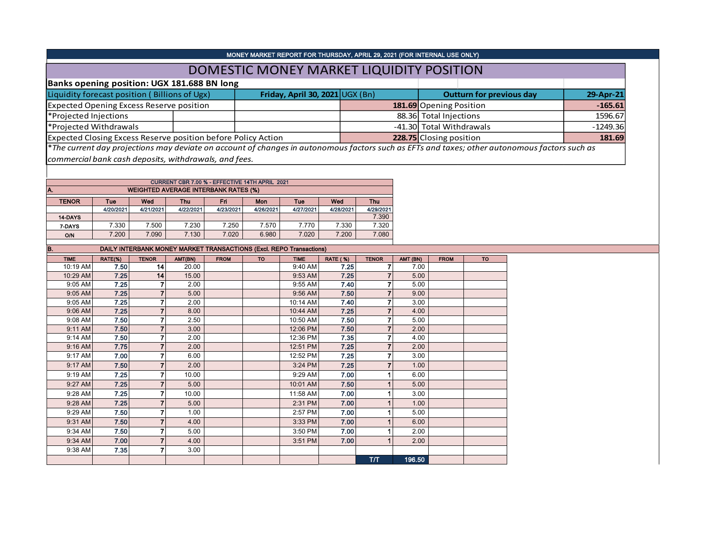|                                                               |                 |                                  |                                             |                |                                                | MONEY MARKET REPORT FOR THURSDAY, APRIL 29, 2021 (FOR INTERNAL USE ONLY)   |                 |                                           |              |                          |                                 |                                                                                                                                               |           |
|---------------------------------------------------------------|-----------------|----------------------------------|---------------------------------------------|----------------|------------------------------------------------|----------------------------------------------------------------------------|-----------------|-------------------------------------------|--------------|--------------------------|---------------------------------|-----------------------------------------------------------------------------------------------------------------------------------------------|-----------|
|                                                               |                 |                                  |                                             |                |                                                | DOMESTIC MONEY MARKET LIQUIDITY POSITION                                   |                 |                                           |              |                          |                                 |                                                                                                                                               |           |
| Banks opening position: UGX 181.688 BN long                   |                 |                                  |                                             |                |                                                |                                                                            |                 |                                           |              |                          |                                 |                                                                                                                                               |           |
| Liquidity forecast position (Billions of Ugx)                 |                 |                                  |                                             |                |                                                | Friday, April 30, 2021 UGX (Bn)                                            |                 |                                           |              |                          | <b>Outturn for previous day</b> |                                                                                                                                               | 29-Apr-21 |
| <b>Expected Opening Excess Reserve position</b>               |                 |                                  |                                             |                |                                                |                                                                            |                 |                                           |              | 181.69 Opening Position  |                                 | $-165.61$                                                                                                                                     |           |
| *Projected Injections                                         |                 |                                  |                                             |                |                                                |                                                                            |                 |                                           |              | 88.36 Total Injections   | 1596.67                         |                                                                                                                                               |           |
| *Projected Withdrawals                                        |                 |                                  |                                             |                |                                                |                                                                            |                 |                                           |              | -41.30 Total Withdrawals | $-1249.36$                      |                                                                                                                                               |           |
| Expected Closing Excess Reserve position before Policy Action |                 |                                  |                                             |                |                                                |                                                                            |                 |                                           |              | 228.75 Closing position  |                                 | 181.69                                                                                                                                        |           |
|                                                               |                 |                                  |                                             |                |                                                |                                                                            |                 |                                           |              |                          |                                 | *The current day projections may deviate on account of changes in autonomous factors such as EFTs and taxes; other autonomous factors such as |           |
| commercial bank cash deposits, withdrawals, and fees.         |                 |                                  |                                             |                |                                                |                                                                            |                 |                                           |              |                          |                                 |                                                                                                                                               |           |
|                                                               |                 |                                  |                                             |                |                                                |                                                                            |                 |                                           |              |                          |                                 |                                                                                                                                               |           |
|                                                               |                 |                                  |                                             |                | CURRENT CBR 7.00 % - EFFECTIVE 14TH APRIL 2021 |                                                                            |                 |                                           |              |                          |                                 |                                                                                                                                               |           |
| A.                                                            |                 |                                  | <b>WEIGHTED AVERAGE INTERBANK RATES (%)</b> |                |                                                |                                                                            |                 |                                           |              |                          |                                 |                                                                                                                                               |           |
| <b>TENOR</b>                                                  | Tue             | Wed                              | Thu                                         | Fri            | Mon                                            | Tue                                                                        | Wed             | Thu                                       |              |                          |                                 |                                                                                                                                               |           |
|                                                               | 4/20/2021       | 4/21/2021                        | 4/22/2021                                   | 4/23/2021      | 4/26/2021                                      | 4/27/2021                                                                  | 4/28/2021       | 4/29/2021                                 |              |                          |                                 |                                                                                                                                               |           |
| 14-DAYS                                                       |                 | 7.500                            |                                             |                | 7.570                                          |                                                                            |                 | 7.390                                     |              |                          |                                 |                                                                                                                                               |           |
| 7-DAYS<br>O/N                                                 | 7.330<br>7.200  | 7.090                            | 7.230<br>7.130                              | 7.250<br>7.020 | 6.980                                          | 7.770<br>7.020                                                             | 7.330<br>7.200  | 7.320<br>7.080                            |              |                          |                                 |                                                                                                                                               |           |
|                                                               |                 |                                  |                                             |                |                                                |                                                                            |                 |                                           |              |                          |                                 |                                                                                                                                               |           |
| B.                                                            |                 |                                  |                                             |                |                                                | <b>DAILY INTERBANK MONEY MARKET TRANSACTIONS (Excl. REPO Transactions)</b> |                 |                                           |              |                          |                                 |                                                                                                                                               |           |
| <b>TIME</b><br>10:19 AM                                       | RATE(%)<br>7.50 | <b>TENOR</b>                     | AMT(BN)                                     | <b>FROM</b>    | <b>TO</b>                                      | <b>TIME</b>                                                                | <b>RATE (%)</b> | <b>TENOR</b>                              | AMT (BN)     | <b>FROM</b>              | <b>TO</b>                       |                                                                                                                                               |           |
|                                                               |                 |                                  |                                             |                |                                                |                                                                            |                 |                                           |              |                          |                                 |                                                                                                                                               |           |
|                                                               |                 | 14                               | 20.00                                       |                |                                                | 9:40 AM                                                                    | 7.25            | $\overline{\mathbf{7}}$                   | 7.00         |                          |                                 |                                                                                                                                               |           |
| 10:29 AM<br>9:05 AM                                           | 7.25<br>7.25    | 14<br>$\overline{7}$             | 15.00<br>2.00                               |                |                                                | 9:53 AM<br>9:55 AM                                                         | 7.25<br>7.40    | $\overline{7}$<br>$\overline{7}$          | 5.00<br>5.00 |                          |                                 |                                                                                                                                               |           |
| 9:05 AM                                                       | 7.25            | $\overline{7}$                   | 5.00                                        |                |                                                | 9:56 AM                                                                    | 7.50            | $\overline{7}$                            | 9.00         |                          |                                 |                                                                                                                                               |           |
| 9:05 AM                                                       | 7.25            | $\overline{7}$                   | 2.00                                        |                |                                                | 10:14 AM                                                                   | 7.40            | $\overline{7}$                            | 3.00         |                          |                                 |                                                                                                                                               |           |
| 9:06 AM                                                       | 7.25            | $\overline{7}$                   | 8.00                                        |                |                                                | 10:44 AM                                                                   | 7.25            | $\overline{7}$                            | 4.00         |                          |                                 |                                                                                                                                               |           |
| 9:08 AM                                                       | 7.50            | $\overline{7}$                   | 2.50                                        |                |                                                | 10:50 AM                                                                   | 7.50            | $\boldsymbol{7}$                          | 5.00         |                          |                                 |                                                                                                                                               |           |
| 9:11 AM                                                       | 7.50            | $\overline{7}$                   | 3.00                                        |                |                                                | 12:06 PM                                                                   | 7.50            | $\overline{7}$                            | 2.00         |                          |                                 |                                                                                                                                               |           |
| 9:14 AM                                                       | 7.50            | $\overline{7}$                   | 2.00                                        |                |                                                | 12:36 PM                                                                   | 7.35            | $\overline{7}$                            | 4.00         |                          |                                 |                                                                                                                                               |           |
| 9:16 AM<br>9:17 AM                                            | 7.75<br>7.00    | $\overline{7}$<br>$\overline{7}$ | 2.00<br>6.00                                |                |                                                | 12:51 PM<br>12:52 PM                                                       | 7.25<br>7.25    | $\overline{\mathbf{7}}$<br>$\overline{7}$ | 2.00<br>3.00 |                          |                                 |                                                                                                                                               |           |
| 9:17 AM                                                       | 7.50            | $\overline{7}$                   | 2.00                                        |                |                                                | 3:24 PM                                                                    | 7.25            | $\overline{7}$                            | 1.00         |                          |                                 |                                                                                                                                               |           |
| 9:19 AM                                                       | 7.25            | $\overline{7}$                   | 10.00                                       |                |                                                | 9:29 AM                                                                    | 7.00            | $\mathbf{1}$                              | 6.00         |                          |                                 |                                                                                                                                               |           |
| 9:27 AM                                                       | 7.25            | $\overline{7}$                   | 5.00                                        |                |                                                | 10:01 AM                                                                   | 7.50            | $\overline{1}$                            | 5.00         |                          |                                 |                                                                                                                                               |           |
| 9:28 AM                                                       | 7.25            | $\overline{7}$                   | 10.00                                       |                |                                                | 11:58 AM                                                                   | 7.00            | $\mathbf{1}$                              | 3.00         |                          |                                 |                                                                                                                                               |           |
| 9:28 AM                                                       | 7.25            | $\mathbf{7}$                     | 5.00                                        |                |                                                | 2:31 PM                                                                    | 7.00            | $\mathbf{1}$                              | 1.00         |                          |                                 |                                                                                                                                               |           |
| 9:29 AM                                                       | 7.50            | $\overline{7}$                   | 1.00                                        |                |                                                | 2:57 PM                                                                    | 7.00            | 1                                         | 5.00         |                          |                                 |                                                                                                                                               |           |
| 9:31 AM                                                       | 7.50            | $\overline{7}$                   | 4.00                                        |                |                                                | 3:33 PM                                                                    | 7.00            | $\mathbf{1}$                              | 6.00         |                          |                                 |                                                                                                                                               |           |
| 9:34 AM                                                       | 7.50            | $\overline{7}$                   | 5.00                                        |                |                                                | 3:50 PM                                                                    | 7.00            | $\mathbf{1}$                              | 2.00         |                          |                                 |                                                                                                                                               |           |
| 9:34 AM<br>9:38 AM                                            | 7.00<br>7.35    | $\overline{7}$<br>$\overline{7}$ | 4.00<br>3.00                                |                |                                                | 3:51 PM                                                                    | 7.00            | $\overline{1}$                            | 2.00         |                          |                                 |                                                                                                                                               |           |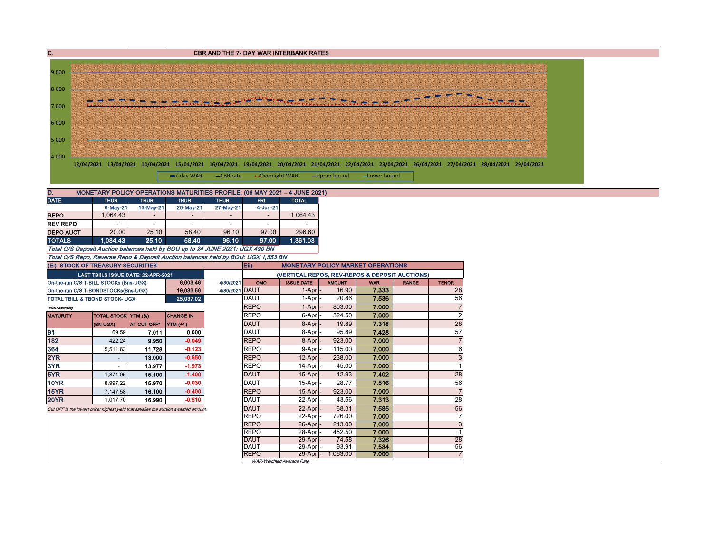| C.               |                                                                                |                                     |                                                                                       |                             |                            | <b>CBR AND THE 7- DAY WAR INTERBANK RATES</b>  |                                          |                     |              |                                                                                                                                                                      |  |
|------------------|--------------------------------------------------------------------------------|-------------------------------------|---------------------------------------------------------------------------------------|-----------------------------|----------------------------|------------------------------------------------|------------------------------------------|---------------------|--------------|----------------------------------------------------------------------------------------------------------------------------------------------------------------------|--|
|                  |                                                                                |                                     |                                                                                       |                             |                            |                                                |                                          |                     |              |                                                                                                                                                                      |  |
| 9.000            |                                                                                |                                     |                                                                                       |                             |                            |                                                |                                          |                     |              |                                                                                                                                                                      |  |
| 8.000            |                                                                                |                                     |                                                                                       |                             |                            |                                                |                                          |                     |              |                                                                                                                                                                      |  |
| 7.000            |                                                                                |                                     |                                                                                       |                             |                            |                                                |                                          |                     |              |                                                                                                                                                                      |  |
| 6.000            |                                                                                |                                     |                                                                                       |                             |                            |                                                |                                          |                     |              |                                                                                                                                                                      |  |
| 5.000            |                                                                                |                                     |                                                                                       |                             |                            |                                                |                                          |                     |              |                                                                                                                                                                      |  |
| 4.000            |                                                                                |                                     |                                                                                       |                             |                            |                                                |                                          |                     |              | 12/04/2021 13/04/2021 14/04/2021 15/04/2021 16/04/2021 19/04/2021 20/04/2021 21/04/2021 22/04/2021 23/04/2021 26/04/2021 27/04/2021 27/04/2021 28/04/2021 28/04/2021 |  |
|                  |                                                                                |                                     | $-7$ -day WAR                                                                         | -CBR rate                   | • Overnight WAR            |                                                | Upper bound                              | Lower bound         |              |                                                                                                                                                                      |  |
| D.               |                                                                                |                                     | MONETARY POLICY OPERATIONS MATURITIES PROFILE: (06 MAY 2021 - 4 JUNE 2021)            |                             |                            |                                                |                                          |                     |              |                                                                                                                                                                      |  |
| <b>DATE</b>      | <b>THUR</b>                                                                    | <b>THUR</b>                         | <b>THUR</b>                                                                           | <b>THUR</b>                 | <b>FRI</b>                 | <b>TOTAL</b>                                   |                                          |                     |              |                                                                                                                                                                      |  |
|                  | 6-May-21                                                                       | 13-May-21                           | 20-May-21                                                                             | 27-May-21                   | 4-Jun-21                   |                                                |                                          |                     |              |                                                                                                                                                                      |  |
| <b>REPO</b>      | 1,064.43                                                                       |                                     |                                                                                       |                             | $\sim$                     | 1,064.43                                       |                                          |                     |              |                                                                                                                                                                      |  |
| <b>REV REPO</b>  |                                                                                | $\sim$                              |                                                                                       | $\sim$                      | $\sim$                     |                                                |                                          |                     |              |                                                                                                                                                                      |  |
| <b>DEPO AUCT</b> | 20.00                                                                          | 25.10                               | 58.40                                                                                 | 96.10                       | 97.00                      | 296.60                                         |                                          |                     |              |                                                                                                                                                                      |  |
| <b>TOTALS</b>    | 1.084.43                                                                       | 25.10                               | 58.40                                                                                 | 96.10                       | 97.00                      | 1,361.03                                       |                                          |                     |              |                                                                                                                                                                      |  |
|                  |                                                                                |                                     | Total O/S Deposit Auction balances held by BOU up to 24 JUNE 2021: UGX 490 BN         |                             |                            |                                                |                                          |                     |              |                                                                                                                                                                      |  |
|                  |                                                                                |                                     | Total O/S Repo, Reverse Repo & Deposit Auction balances held by BOU: UGX 1,553 BN     |                             |                            |                                                |                                          |                     |              |                                                                                                                                                                      |  |
|                  | (Ei) STOCK OF TREASURY SECURITIES                                              |                                     |                                                                                       |                             | Eii)                       |                                                | <b>MONETARY POLICY MARKET OPERATIONS</b> |                     |              |                                                                                                                                                                      |  |
|                  |                                                                                | LAST TBIILS ISSUE DATE: 22-APR-2021 |                                                                                       |                             |                            | (VERTICAL REPOS, REV-REPOS & DEPOSIT AUCTIONS) |                                          |                     |              |                                                                                                                                                                      |  |
|                  | On-the-run O/S T-BILL STOCKs (Bns-UGX)<br>On-the-run O/S T-BONDSTOCKs(Bns-UGX) |                                     | 6,003.46<br>19,033.56                                                                 | 4/30/2021<br>4/30/2021 DAUT | OMO                        | <b>ISSUE DATE</b><br>1-Apr                     | <b>AMOUNT</b><br>16.90                   | <b>WAR</b><br>7.333 | <b>RANGE</b> | <b>TENOR</b><br>28                                                                                                                                                   |  |
|                  | TOTAL TBILL & TBOND STOCK- UGX                                                 |                                     | 25,037.02                                                                             |                             | <b>DAUT</b>                | 1-Apr                                          | 20.86                                    | 7.536               |              | 56                                                                                                                                                                   |  |
| O/S=Outstanding  |                                                                                |                                     |                                                                                       |                             | <b>REPO</b>                | 1-Apr                                          | 803.00                                   | 7.000               |              | $\overline{7}$                                                                                                                                                       |  |
| <b>MATURITY</b>  | TOTAL STOCK YTM (%)                                                            |                                     | <b>CHANGE IN</b>                                                                      |                             | <b>REPO</b>                | 6-Apr                                          | 324.50                                   | 7.000               |              | $\overline{c}$                                                                                                                                                       |  |
|                  | (BN UGX)                                                                       | AT CUT OFF*                         | $\vert$ YTM (+/-)                                                                     |                             | <b>DAUT</b>                | 8-Apr                                          | 19.89                                    | 7.318               |              | 28                                                                                                                                                                   |  |
| 91               | 69.59                                                                          | 7.011                               | 0.000                                                                                 |                             | <b>DAUT</b>                | 8-Apr                                          | 95.89                                    | 7.428               |              | 57                                                                                                                                                                   |  |
| 182              | 422.24                                                                         | 9.950                               | $-0.049$                                                                              |                             | <b>REPO</b>                | 8-Apr                                          | 923.00                                   | 7.000               |              | $\overline{7}$                                                                                                                                                       |  |
| 364              | 5,511.63                                                                       | 11.728                              | $-0.123$                                                                              |                             | <b>REPO</b>                | 9-Apr                                          | 115.00                                   | 7.000               |              | 6                                                                                                                                                                    |  |
| 2YR              | $\sim$                                                                         | 13.000                              | $-0.550$                                                                              |                             | <b>REPO</b>                | 12-Apr                                         | 238.00                                   | 7.000               |              | 3                                                                                                                                                                    |  |
| 3YR              | $\overline{\phantom{a}}$                                                       | 13.977                              | $-1.973$                                                                              |                             | <b>REPO</b>                | 14-Apr                                         | 45.00                                    | 7.000               |              | $\overline{1}$                                                                                                                                                       |  |
| 5YR              | 1,871.05                                                                       | 15.100                              | $-1.400$                                                                              |                             | <b>DAUT</b>                | 15-Apr                                         | 12.93                                    | 7.402               |              | 28                                                                                                                                                                   |  |
| <b>10YR</b>      | 8,997.22                                                                       | 15.970                              | $-0.030$                                                                              |                             | <b>DAUT</b>                | 15-Apr                                         | 28.77                                    | 7.516               |              | 56                                                                                                                                                                   |  |
| 15YR             | 7,147.58                                                                       | 16.100                              | $-0.400$                                                                              |                             | <b>REPO</b>                | 15-Apr                                         | 923.00                                   | 7.000               |              | $\overline{7}$                                                                                                                                                       |  |
| <b>20YR</b>      | 1.017.70                                                                       | 16.990                              | $-0.510$                                                                              |                             | <b>DAUT</b>                | 22-Apr                                         | 43.56                                    | 7.313               |              | 28                                                                                                                                                                   |  |
|                  |                                                                                |                                     | Cut OFF is the lowest price/ highest yield that satisfies the auction awarded amount. |                             | <b>DAUT</b>                | 22-Apr                                         | 68.31                                    | 7.585               |              | 56                                                                                                                                                                   |  |
|                  |                                                                                |                                     |                                                                                       |                             | <b>REPO</b>                | 22-Apr                                         | 726.00                                   | 7.000               |              | $\overline{7}$                                                                                                                                                       |  |
|                  |                                                                                |                                     |                                                                                       |                             | <b>REPO</b>                | 26-Apr                                         | 213.00                                   | 7.000               |              | $\overline{3}$                                                                                                                                                       |  |
|                  |                                                                                |                                     |                                                                                       |                             | <b>REPO</b>                | 28-Apr                                         | 452.50                                   | 7.000               |              | $\mathbf{1}$                                                                                                                                                         |  |
|                  |                                                                                |                                     |                                                                                       |                             | <b>DAUT</b><br><b>DAUT</b> | 29-Apr                                         | 74.58                                    | 7.326               |              | 28                                                                                                                                                                   |  |
|                  |                                                                                |                                     |                                                                                       |                             | <b>REPO</b>                | 29-Apr<br>$29$ -Apr $ -$                       | 93.91<br>1,063.00                        | 7.584<br>7.000      |              | 56<br>$\overline{7}$                                                                                                                                                 |  |
|                  |                                                                                |                                     |                                                                                       |                             |                            | WAR-Weighted Average Rate                      |                                          |                     |              |                                                                                                                                                                      |  |
|                  |                                                                                |                                     |                                                                                       |                             |                            |                                                |                                          |                     |              |                                                                                                                                                                      |  |